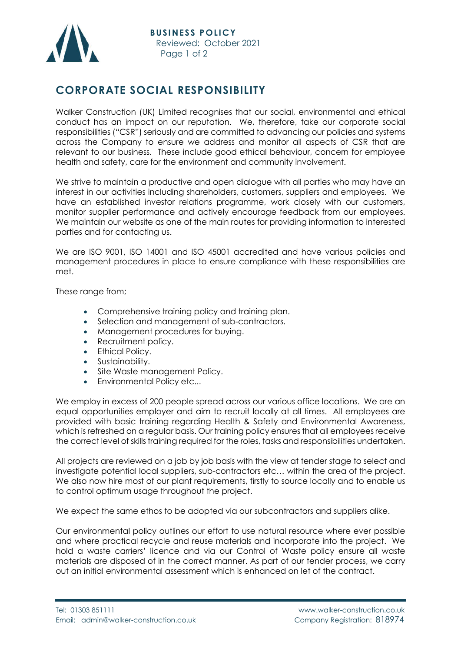

## **CORPORATE SOCIAL RESPONSIBILITY**

Walker Construction (UK) Limited recognises that our social, environmental and ethical conduct has an impact on our reputation. We, therefore, take our corporate social responsibilities ("CSR") seriously and are committed to advancing our policies and systems across the Company to ensure we address and monitor all aspects of CSR that are relevant to our business. These include good ethical behaviour, concern for employee health and safety, care for the environment and community involvement.

We strive to maintain a productive and open dialogue with all parties who may have an interest in our activities including shareholders, customers, suppliers and employees. We have an established investor relations programme, work closely with our customers, monitor supplier performance and actively encourage feedback from our employees. We maintain our website as one of the main routes for providing information to interested parties and for contacting us.

We are ISO 9001, ISO 14001 and ISO 45001 accredited and have various policies and management procedures in place to ensure compliance with these responsibilities are met.

These range from;

- Comprehensive training policy and training plan.
- Selection and management of sub-contractors.
- Management procedures for buying.
- Recruitment policy.
- Ethical Policy.
- Sustainability.
- Site Waste management Policy.
- Environmental Policy etc...

We employ in excess of 200 people spread across our various office locations. We are an equal opportunities employer and aim to recruit locally at all times. All employees are provided with basic training regarding Health & Safety and Environmental Awareness, which is refreshed on a regular basis. Our training policy ensures that all employees receive the correct level of skills training required for the roles, tasks and responsibilities undertaken.

All projects are reviewed on a job by job basis with the view at tender stage to select and investigate potential local suppliers, sub-contractors etc… within the area of the project. We also now hire most of our plant requirements, firstly to source locally and to enable us to control optimum usage throughout the project.

We expect the same ethos to be adopted via our subcontractors and suppliers alike.

Our environmental policy outlines our effort to use natural resource where ever possible and where practical recycle and reuse materials and incorporate into the project. We hold a waste carriers' licence and via our Control of Waste policy ensure all waste materials are disposed of in the correct manner. As part of our tender process, we carry out an initial environmental assessment which is enhanced on let of the contract.